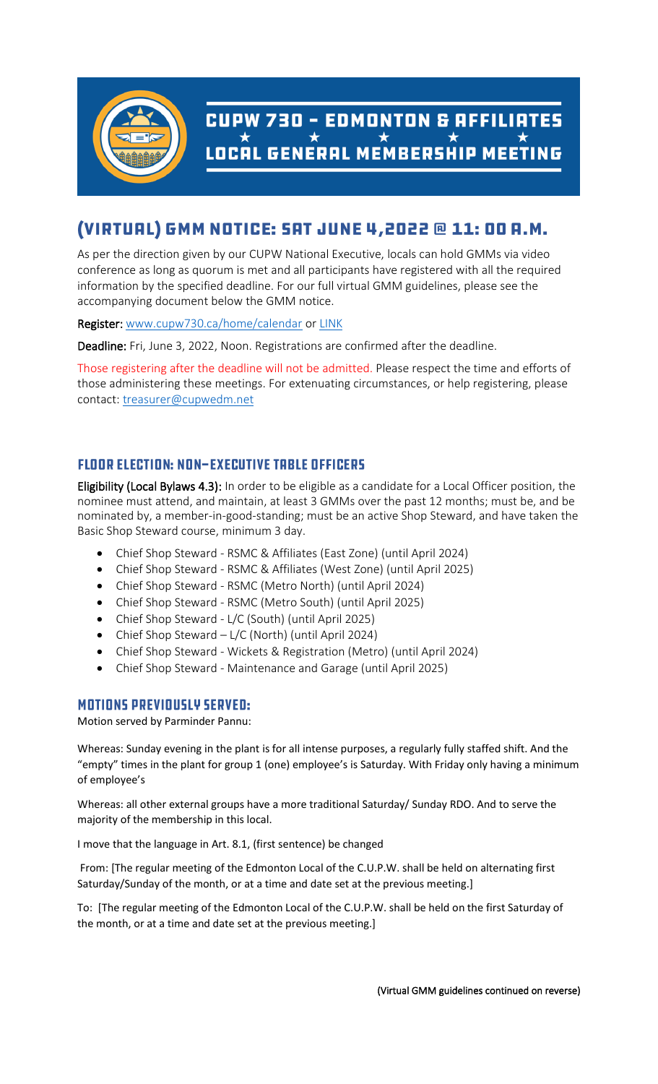

# CUPW 730  $\frac{1}{\star}$  EDMONTON & AFFILIATES  $\star$   $\star$   $\star$   $\star$   $\star$   $\star$   $\star$   $\star$

# (VIRTUAL) GMM NOTICE: SAT JUNE 4,2022 @ 11: 00 A.M.

As per the direction given by our CUPW National Executive, locals can hold GMMs via video conference as long as quorum is met and all participants have registered with all the required information by the specified deadline. For our full virtual GMM guidelines, please see the accompanying document below the GMM notice.

Register: [www.cupw730.ca/home/calendar](http://www.cupw730.ca/home/calendar) or [LINK](https://us02web.zoom.us/meeting/register/tZIpcuqqrDMjE9WWSnlMUZf8DCLoe41ms_Q6)

Deadline: Fri, June 3, 2022, Noon. Registrations are confirmed after the deadline.

Those registering after the deadline will not be admitted. Please respect the time and efforts of those administering these meetings. For extenuating circumstances, or help registering, please contact: [treasurer@cupwedm.net](mailto:treasurer@cupwedm.net)

## **FLOOR ELECTION: NON-EXECUTIVE TABLE OFFICERS**

Eligibility (Local Bylaws 4.3): In order to be eligible as a candidate for a Local Officer position, the nominee must attend, and maintain, at least 3 GMMs over the past 12 months; must be, and be nominated by, a member-in-good-standing; must be an active Shop Steward, and have taken the Basic Shop Steward course, minimum 3 day.

- Chief Shop Steward RSMC & Affiliates (East Zone) (until April 2024)
- Chief Shop Steward RSMC & Affiliates (West Zone) (until April 2025)
- Chief Shop Steward RSMC (Metro North) (until April 2024)
- Chief Shop Steward RSMC (Metro South) (until April 2025)
- Chief Shop Steward L/C (South) (until April 2025)
- Chief Shop Steward L/C (North) (until April 2024)
- Chief Shop Steward Wickets & Registration (Metro) (until April 2024)
- Chief Shop Steward Maintenance and Garage (until April 2025)

#### **MOTIONS PREVIOUSLY SERVED:**

Motion served by Parminder Pannu:

Whereas: Sunday evening in the plant is for all intense purposes, a regularly fully staffed shift. And the "empty" times in the plant for group 1 (one) employee's is Saturday. With Friday only having a minimum of employee's

Whereas: all other external groups have a more traditional Saturday/ Sunday RDO. And to serve the majority of the membership in this local.

I move that the language in Art. 8.1, (first sentence) be changed

From: [The regular meeting of the Edmonton Local of the C.U.P.W. shall be held on alternating first Saturday/Sunday of the month, or at a time and date set at the previous meeting.]

To: [The regular meeting of the Edmonton Local of the C.U.P.W. shall be held on the first Saturday of the month, or at a time and date set at the previous meeting.]